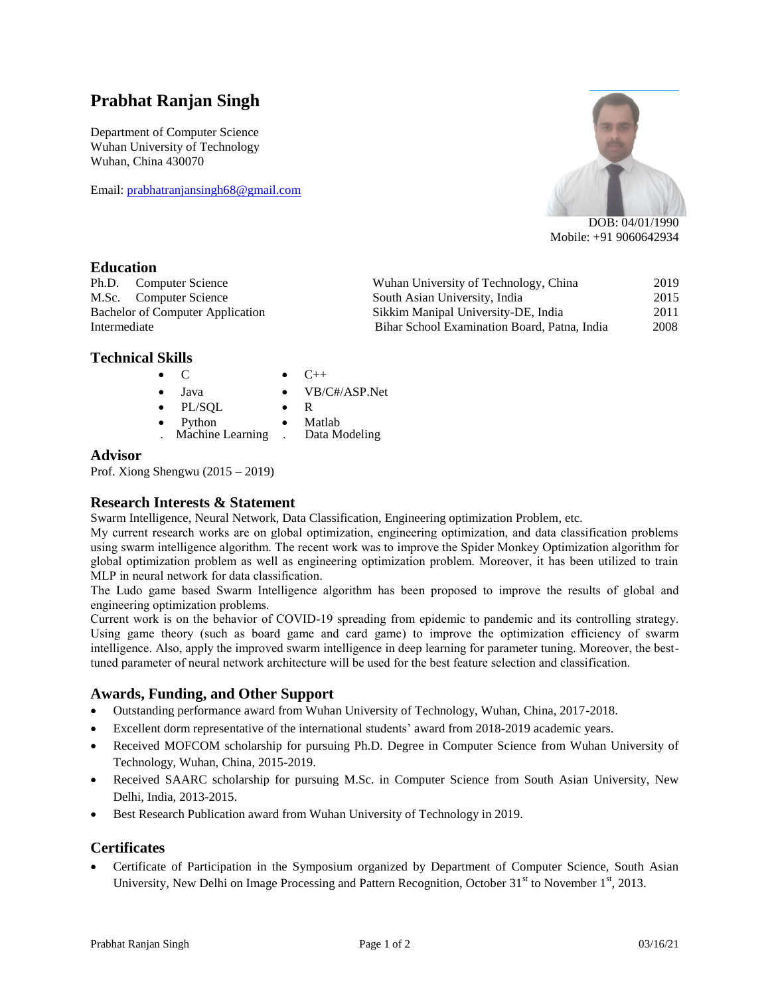# **Prabhat Ranjan Singh**

Department of Computer Science Wuhan University of Technology Wuhan, China 430070

Email: [prabhatranjansingh68@gmail.com](mailto:prabhatranjansingh68@gmail.com)



DOB: 04/01/1990 Mobile: +91 9060642934

### **Education**

Ph.D. Computer Science Wuhan University of Technology, China 2019 M.Sc. Computer Science South Asian University, India 2015 Bachelor of Computer Application Sikkim Manipal University-DE, India 2011 Intermediate Bihar School Examination Board, Patna, India 2008

## **Technical Skills**

- $\bullet$  C  $\bullet$  C++
	- VB/C#/ASP.Net
- Java PL/SQL
- R
- 
- Python Matlab<br>Machine Learning . Data Modeling Machine Learning

#### **Advisor**

Prof. Xiong Shengwu (2015 – 2019)

### **Research Interests & Statement**

Swarm Intelligence, Neural Network, Data Classification, Engineering optimization Problem, etc.

My current research works are on global optimization, engineering optimization, and data classification problems using swarm intelligence algorithm. The recent work was to improve the Spider Monkey Optimization algorithm for global optimization problem as well as engineering optimization problem. Moreover, it has been utilized to train MLP in neural network for data classification.

The Ludo game based Swarm Intelligence algorithm has been proposed to improve the results of global and engineering optimization problems.

Current work is on the behavior of COVID-19 spreading from epidemic to pandemic and its controlling strategy. Using game theory (such as board game and card game) to improve the optimization efficiency of swarm intelligence. Also, apply the improved swarm intelligence in deep learning for parameter tuning. Moreover, the besttuned parameter of neural network architecture will be used for the best feature selection and classification.

### **Awards, Funding, and Other Support**

- Outstanding performance award from Wuhan University of Technology, Wuhan, China, 2017-2018.
- Excellent dorm representative of the international students' award from 2018-2019 academic years.
- Received MOFCOM scholarship for pursuing Ph.D. Degree in Computer Science from Wuhan University of Technology, Wuhan, China, 2015-2019.
- Received SAARC scholarship for pursuing M.Sc. in Computer Science from South Asian University, New Delhi, India, 2013-2015.
- Best Research Publication award from Wuhan University of Technology in 2019.

### **Certificates**

 Certificate of Participation in the Symposium organized by Department of Computer Science, South Asian University, New Delhi on Image Processing and Pattern Recognition, October  $31<sup>st</sup>$  to November  $1<sup>st</sup>$ , 2013.